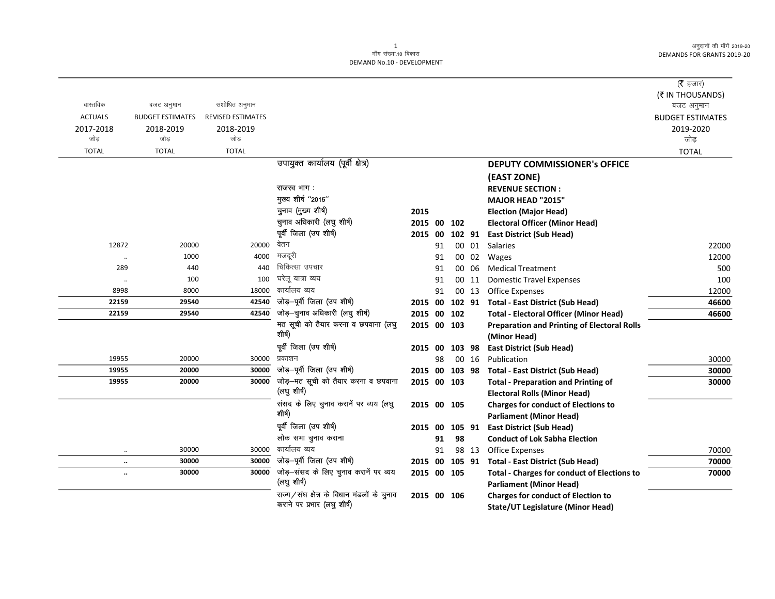> 30000  $30000$ 30000

70000 70000 70000

 $(\overline{\mathfrak{k}}$  हजार) (₹ IN THOUSANDS) बजट अनुमान **BUDGET ESTIMATES** 2019-2020 जोड़ **TOTAL** 

| वास्तविक       | बजट अनुमान              | संशोधित अनुमान           |                                            |                |    |        |       |                                                    |
|----------------|-------------------------|--------------------------|--------------------------------------------|----------------|----|--------|-------|----------------------------------------------------|
| <b>ACTUALS</b> | <b>BUDGET ESTIMATES</b> | <b>REVISED ESTIMATES</b> |                                            |                |    |        |       |                                                    |
| 2017-2018      | 2018-2019               | 2018-2019                |                                            |                |    |        |       |                                                    |
| जोड            | जोड                     | जोड                      |                                            |                |    |        |       |                                                    |
| <b>TOTAL</b>   | <b>TOTAL</b>            | <b>TOTAL</b>             |                                            |                |    |        |       |                                                    |
|                |                         |                          | उपायुक्त कार्यालय (पूर्वी क्षेत्र)         |                |    |        |       | <b>DEPUTY COMMISSIONER's OFFICE</b>                |
|                |                         |                          |                                            |                |    |        |       | (EAST ZONE)                                        |
|                |                         |                          | राजस्व भाग :                               |                |    |        |       | <b>REVENUE SECTION:</b>                            |
|                |                         |                          | मुख्य शीर्ष "2015"                         |                |    |        |       | MAJOR HEAD "2015"                                  |
|                |                         |                          | चुनाव (मुख्य शीर्ष)                        | 2015           |    |        |       | <b>Election (Major Head)</b>                       |
|                |                         |                          | चुनाव अधिकारी (लघु शीर्ष)                  | 2015 00        |    | 102    |       | <b>Electoral Officer (Minor Head)</b>              |
|                |                         |                          | पूर्वी जिला (उप शीर्ष)                     | 2015 00        |    | 102 91 |       | <b>East District (Sub Head)</b>                    |
| 12872          | 20000                   | 20000                    | वेतन                                       |                | 91 |        | 00 01 | <b>Salaries</b>                                    |
| $\ldots$       | 1000                    | 4000                     | मजदूरी                                     |                | 91 |        | 00 02 | Wages                                              |
| 289            | 440                     | 440                      | चिकित्सा उपचार                             |                | 91 |        | 00 06 | <b>Medical Treatment</b>                           |
| $\ldots$       | 100                     | 100                      | घरेलू यात्रा व्यय                          |                | 91 |        | 00 11 | <b>Domestic Travel Expenses</b>                    |
| 8998           | 8000                    | 18000                    | कार्यालय व्यय                              |                | 91 |        | 00 13 | <b>Office Expenses</b>                             |
| 22159          | 29540                   | 42540                    | जोड़-पूर्वी जिला (उप शीर्ष)                | 2015 00        |    |        |       | 102 91 Total - East District (Sub Head)            |
| 22159          | 29540                   | 42540                    | जोड़-चुनाव अधिकारी (लघु शीर्ष)             | 2015 00 102    |    |        |       | <b>Total - Electoral Officer (Minor Head)</b>      |
|                |                         |                          | मत सूची को तैयार करना व छपवाना (लघु        | 2015 00 103    |    |        |       | <b>Preparation and Printing of Electoral Rolls</b> |
|                |                         |                          | शीर्ष)                                     |                |    |        |       | (Minor Head)                                       |
|                |                         |                          | पूर्वी जिला (उप शीर्ष)                     | 2015 00        |    | 103 98 |       | <b>East District (Sub Head)</b>                    |
| 19955          | 20000                   | 30000                    | प्रकाशन                                    |                | 98 |        | 00 16 | Publication                                        |
| 19955          | 20000                   | 30000                    | जोड़-पूर्वी जिला (उप शीर्ष)                | 2015 00 103 98 |    |        |       | <b>Total - East District (Sub Head)</b>            |
| 19955          | 20000                   | 30000                    | जोड़-मत सूची को तैयार करना व छपवाना        | 2015 00 103    |    |        |       | <b>Total - Preparation and Printing of</b>         |
|                |                         |                          | (लघु शीर्ष)                                |                |    |        |       | <b>Electoral Rolls (Minor Head)</b>                |
|                |                         |                          | संसद के लिए चुनाव करानें पर व्यय (लघु      | 2015 00 105    |    |        |       | <b>Charges for conduct of Elections to</b>         |
|                |                         |                          | शीर्ष)                                     |                |    |        |       | <b>Parliament (Minor Head)</b>                     |
|                |                         |                          | पूर्वी जिला (उप शीर्ष)                     | 2015 00        |    | 105 91 |       | <b>East District (Sub Head)</b>                    |
|                |                         |                          | लोक सभा चुनाव कराना                        |                | 91 | 98     |       | <b>Conduct of Lok Sabha Election</b>               |
| $\ddotsc$      | 30000                   | 30000                    | कार्यालय व्यय                              |                | 91 |        | 98 13 | <b>Office Expenses</b>                             |
| $\ldots$       | 30000                   | 30000                    | जोड़-पूर्वी जिला (उप शीर्ष)                | 2015 00        |    | 105 91 |       | <b>Total - East District (Sub Head)</b>            |
| $\ddotsc$      | 30000                   | 30000                    | जोड़-संसद के लिए चुनाव करानें पर व्यय      | 2015 00 105    |    |        |       | <b>Total - Charges for conduct of Elections to</b> |
|                |                         |                          | (लघु शीर्ष)                                |                |    |        |       | <b>Parliament (Minor Head)</b>                     |
|                |                         |                          | राज्य/संघ क्षेत्र के विधान मंडलों के चुनाव | 2015 00 106    |    |        |       | <b>Charges for conduct of Election to</b>          |
|                |                         |                          | कराने पर प्रभार (लघु शीर्ष)                |                |    |        |       | State/UT Legislature (Minor Head)                  |

**State/UT Legislature (Minor Head)**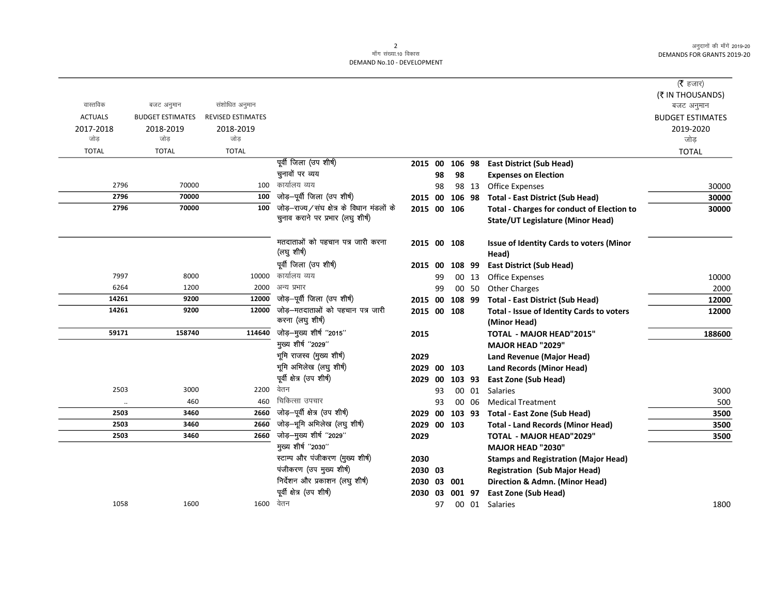## 2<br>माँग संख्या.10 विकास DEMAND No.10 - DEVELOPMENT

|                |                         |                          |                                                                |                        |    |        |       |                                                                        | ( $\bar{\tau}$ हजार)<br>(₹ IN THOUSANDS) |
|----------------|-------------------------|--------------------------|----------------------------------------------------------------|------------------------|----|--------|-------|------------------------------------------------------------------------|------------------------------------------|
| वास्तविक       | बजट अनुमान              | संशोधित अनुमान           |                                                                |                        |    |        |       |                                                                        | बजट अनुमान                               |
| <b>ACTUALS</b> | <b>BUDGET ESTIMATES</b> | <b>REVISED ESTIMATES</b> |                                                                |                        |    |        |       |                                                                        | <b>BUDGET ESTIMATES</b>                  |
| 2017-2018      | 2018-2019               | 2018-2019                |                                                                |                        |    |        |       |                                                                        | 2019-2020                                |
| जोड            | जोड                     | जोड                      |                                                                |                        |    |        |       |                                                                        | जोड                                      |
| <b>TOTAL</b>   | <b>TOTAL</b>            | <b>TOTAL</b>             |                                                                |                        |    |        |       |                                                                        | <b>TOTAL</b>                             |
|                |                         |                          | पूर्वी जिला (उप शीर्ष)                                         | 2015 00                |    | 106 98 |       | <b>East District (Sub Head)</b>                                        |                                          |
|                |                         |                          | चुनावों पर व्यय                                                |                        | 98 | 98     |       | <b>Expenses on Election</b>                                            |                                          |
| 2796           | 70000                   | 100                      | कार्यालय व्यय                                                  |                        | 98 |        | 98 13 | <b>Office Expenses</b>                                                 | 30000                                    |
| 2796           | 70000                   | 100                      | जोड़-पूर्वी जिला (उप शीर्ष)                                    | 2015 00                |    | 106 98 |       | <b>Total - East District (Sub Head)</b>                                | 30000                                    |
| 2796           | 70000                   | 100                      | जोड़-राज्य/संघ क्षेत्र के विधान मंडलों के                      | 2015 00 106            |    |        |       | <b>Total - Charges for conduct of Election to</b>                      | 30000                                    |
|                |                         |                          | चुनाव कराने पर प्रभार (लघु शीर्ष)                              |                        |    |        |       | <b>State/UT Legislature (Minor Head)</b>                               |                                          |
|                |                         |                          | मतदाताओं को पहचान पत्र जारी करना                               | 2015 00 108            |    |        |       | Issue of Identity Cards to voters (Minor                               |                                          |
|                |                         |                          | (लघु शीर्ष)                                                    |                        |    |        |       | Head)                                                                  |                                          |
|                |                         |                          | पूर्वी जिला (उप शीर्ष)                                         | 2015                   | 00 | 108 99 |       | <b>East District (Sub Head)</b>                                        |                                          |
| 7997           | 8000                    | 10000                    | कार्यालय व्यय                                                  |                        | 99 |        | 00 13 | <b>Office Expenses</b>                                                 | 10000                                    |
| 6264           | 1200                    | 2000                     | अन्य प्रभार                                                    |                        | 99 |        | 00 50 | <b>Other Charges</b>                                                   | 2000                                     |
| 14261          | 9200                    | 12000                    | जोड़–पूर्वी जिला (उप शीर्ष)                                    | 2015                   | 00 | 108 99 |       | <b>Total - East District (Sub Head)</b>                                | 12000                                    |
| 14261          | 9200                    | 12000                    | जोड़–मतदाताओं को पहचान पत्र जारी                               | 2015 00 108            |    |        |       | Total - Issue of Identity Cards to voters                              | 12000                                    |
|                |                         |                          | करना (लघु शीर्ष)                                               |                        |    |        |       | (Minor Head)                                                           |                                          |
| 59171          | 158740                  | 114640                   | जोड़-मुख्य शीर्ष "2015"                                        | 2015                   |    |        |       | <b>TOTAL - MAJOR HEAD"2015"</b>                                        | 188600                                   |
|                |                         |                          | मुख्य शीर्ष "2029"                                             |                        |    |        |       | <b>MAJOR HEAD "2029"</b>                                               |                                          |
|                |                         |                          | भूमि राजस्व (मुख्य शीर्ष)                                      | 2029                   |    |        |       | Land Revenue (Major Head)                                              |                                          |
|                |                         |                          | भूमि अभिलेख (लघु शीर्ष)                                        | 2029                   | 00 | 103    |       | <b>Land Records (Minor Head)</b>                                       |                                          |
|                |                         |                          | पूर्वी क्षेत्र (उप शीर्ष)                                      | 2029                   | 00 | 103 93 |       | <b>East Zone (Sub Head)</b>                                            |                                          |
| 2503           | 3000                    | 2200                     | वेतन                                                           |                        | 93 |        | 00 01 | <b>Salaries</b>                                                        | 3000                                     |
|                | 460                     | 460                      | चिकित्सा उपचार                                                 |                        | 93 |        | 00 06 | <b>Medical Treatment</b>                                               | 500                                      |
| 2503           | 3460                    | 2660                     | जोड़-पूर्वी क्षेत्र (उप शीर्ष)<br>जोड़-भूमि अभिलेख (लघु शीर्ष) | 2029                   | 00 | 103 93 |       | Total - East Zone (Sub Head)                                           | 3500                                     |
| 2503<br>2503   | 3460<br>3460            | 2660<br>2660             | जोड़-मुख्य शीर्ष "2029"                                        | 2029                   |    | 00 103 |       | <b>Total - Land Records (Minor Head)</b>                               | 3500                                     |
|                |                         |                          | मुख्य शीर्ष "2030"                                             | 2029                   |    |        |       | <b>TOTAL - MAJOR HEAD"2029"</b><br><b>MAJOR HEAD "2030"</b>            | 3500                                     |
|                |                         |                          | स्टाम्प और पंजीकरण (मुख्य शीर्ष)                               |                        |    |        |       |                                                                        |                                          |
|                |                         |                          | पंजीकरण (उप मुख्य शीर्ष)                                       | 2030                   |    |        |       | <b>Stamps and Registration (Major Head)</b>                            |                                          |
|                |                         |                          | निर्देशन और प्रकाशन (लघु शीर्ष)                                | 2030 03                |    |        |       | <b>Registration (Sub Major Head)</b><br>Direction & Admn. (Minor Head) |                                          |
|                |                         |                          | पूर्वी क्षेत्र (उप शीर्ष)                                      | 2030 03 001<br>2030 03 |    | 001 97 |       |                                                                        |                                          |
| 1058           | 1600                    | 1600 वेतन                |                                                                |                        | 97 |        |       | <b>East Zone (Sub Head)</b><br>00 01 Salaries                          | 1800                                     |
|                |                         |                          |                                                                |                        |    |        |       |                                                                        |                                          |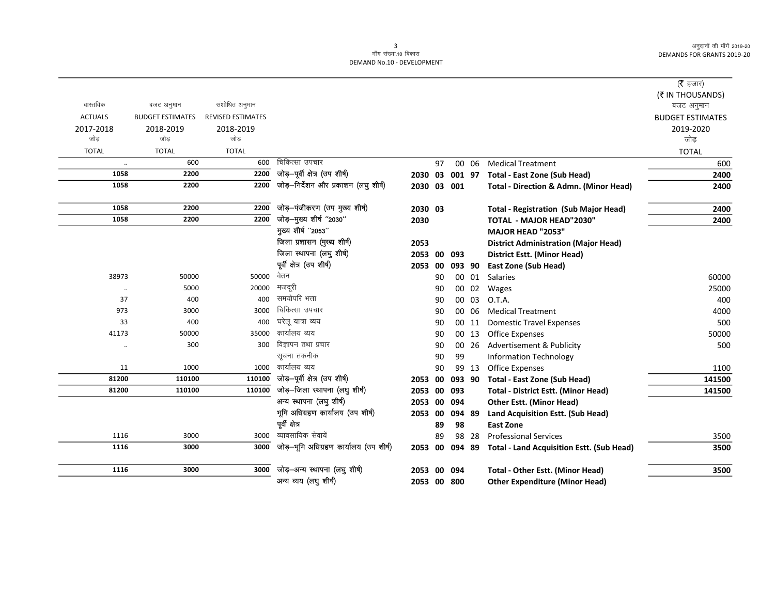## 3<br>माँग संख्या.10 विकास DEMAND No.10 - DEVELOPMENT

|                |                         |                          |                                        |             |    |        |       |                                                   | (रै हजार)               |
|----------------|-------------------------|--------------------------|----------------------------------------|-------------|----|--------|-------|---------------------------------------------------|-------------------------|
|                |                         |                          |                                        |             |    |        |       |                                                   | (₹ IN THOUSANDS)        |
| वास्तविक       | बजट अनुमान              | संशोधित अनुमान           |                                        |             |    |        |       |                                                   | बजट अनुमान              |
| <b>ACTUALS</b> | <b>BUDGET ESTIMATES</b> | <b>REVISED ESTIMATES</b> |                                        |             |    |        |       |                                                   | <b>BUDGET ESTIMATES</b> |
| 2017-2018      | 2018-2019               | 2018-2019                |                                        |             |    |        |       |                                                   | 2019-2020               |
| जोड            | जोड                     | जोड                      |                                        |             |    |        |       |                                                   | जोड                     |
| <b>TOTAL</b>   | <b>TOTAL</b>            | <b>TOTAL</b>             |                                        |             |    |        |       |                                                   | <b>TOTAL</b>            |
| $\ldots$       | 600                     | 600                      | चिकित्सा उपचार                         |             | 97 |        | 00 06 | <b>Medical Treatment</b>                          | 600                     |
| 1058           | 2200                    | 2200                     | जोड़-पूर्वी क्षेत्र (उप शीर्ष)         | 2030 03     |    | 001 97 |       | <b>Total - East Zone (Sub Head)</b>               | 2400                    |
| 1058           | 2200                    | 2200                     | जोड़-निर्देशन और प्रकाशन (लघु शीर्ष)   | 2030 03 001 |    |        |       | <b>Total - Direction &amp; Admn. (Minor Head)</b> | 2400                    |
| 1058           | 2200                    | 2200                     | जोड़-पंजीकरण (उप मुख्य शीर्ष)          | 2030 03     |    |        |       | <b>Total - Registration (Sub Major Head)</b>      | 2400                    |
| 1058           | 2200                    | 2200                     | जोड़-मुख्य शीर्ष "2030"                | 2030        |    |        |       | <b>TOTAL - MAJOR HEAD"2030"</b>                   | 2400                    |
|                |                         |                          | मुख्य शीर्ष "2053"                     |             |    |        |       | <b>MAJOR HEAD "2053"</b>                          |                         |
|                |                         |                          | जिला प्रशासन (मुख्य शीर्ष)             | 2053        |    |        |       | <b>District Administration (Major Head)</b>       |                         |
|                |                         |                          | जिला स्थापना (लघु शीर्ष)               | 2053        | 00 | 093    |       | District Estt. (Minor Head)                       |                         |
|                |                         |                          | पूर्वी क्षेत्र (उप शीर्ष)              | 2053        | 00 | 093 90 |       | <b>East Zone (Sub Head)</b>                       |                         |
| 38973          | 50000                   | 50000                    | वेतन                                   |             | 90 |        | 00 01 | Salaries                                          | 60000                   |
| $\ldots$       | 5000                    | 20000                    | मजदूरी                                 |             | 90 |        | 00 02 | Wages                                             | 25000                   |
| 37             | 400                     | 400                      | समयोपरि भत्ता                          |             | 90 |        | 00 03 | O.T.A.                                            | 400                     |
| 973            | 3000                    | 3000                     | चिकित्सा उपचार                         |             | 90 |        | 00 06 | <b>Medical Treatment</b>                          | 4000                    |
| 33             | 400                     | 400                      | घरेलू यात्रा व्यय                      |             | 90 |        | 00 11 | <b>Domestic Travel Expenses</b>                   | 500                     |
| 41173          | 50000                   | 35000                    | कार्यालय व्यय                          |             | 90 |        | 00 13 | <b>Office Expenses</b>                            | 50000                   |
| $\ddotsc$      | 300                     | 300                      | विज्ञापन तथा प्रचार                    |             | 90 |        | 00 26 | Advertisement & Publicity                         | 500                     |
|                |                         |                          | सूचना तकनीक                            |             | 90 | 99     |       | <b>Information Technology</b>                     |                         |
| 11             | 1000                    | 1000                     | कार्यालय व्यय                          |             | 90 |        | 99 13 | <b>Office Expenses</b>                            | 1100                    |
| 81200          | 110100                  | 110100                   | जोड़-पूर्वी क्षेत्र (उप शीर्ष)         | 2053        | 00 | 093 90 |       | <b>Total - East Zone (Sub Head)</b>               | 141500                  |
| 81200          | 110100                  | 110100                   | जोड़-जिला स्थापना (लघु शीर्ष)          | 2053 00     |    | 093    |       | <b>Total - District Estt. (Minor Head)</b>        | 141500                  |
|                |                         |                          | अन्य स्थापना (लघु शीर्ष)               | 2053        | 00 | 094    |       | <b>Other Estt. (Minor Head)</b>                   |                         |
|                |                         |                          | भूमि अधिग्रहण कार्यालय (उप शीर्ष)      | 2053        | 00 | 094 89 |       | Land Acquisition Estt. (Sub Head)                 |                         |
|                |                         |                          | पूर्वी क्षेत्र                         |             | 89 | 98     |       | <b>East Zone</b>                                  |                         |
| 1116           | 3000                    | 3000                     | व्यावसायिक सेवायें                     |             | 89 |        | 98 28 | <b>Professional Services</b>                      | 3500                    |
| 1116           | 3000                    | 3000                     | जोड़-भूमि अधिग्रहण कार्यालय (उप शीर्ष) | 2053 00     |    | 094 89 |       | <b>Total - Land Acquisition Estt. (Sub Head)</b>  | 3500                    |
| 1116           | 3000                    | 3000                     | जोड़—अन्य स्थापना (लघु शीर्ष)          | 2053 00     |    | 094    |       | <b>Total - Other Estt. (Minor Head)</b>           | 3500                    |
|                |                         |                          | अन्य व्यय (लघु शीर्ष)                  | 2053 00 800 |    |        |       | <b>Other Expenditure (Minor Head)</b>             |                         |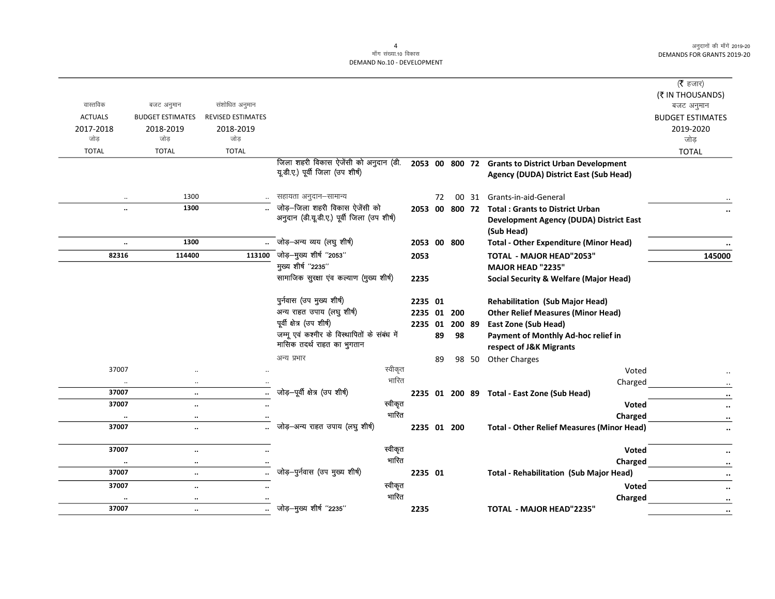$\overline{\phantom{0}}$ 

| वास्तविक<br><b>ACTUALS</b> | बजट अनुमान<br><b>BUDGET ESTIMATES</b> | संशोधित अनुमान<br><b>REVISED ESTIMATES</b> |                                                                               |      |         |             |        |                                                                                                        | ( $\bar{\tau}$ हजार)<br>(₹ IN THOUSANDS)<br>बजट अनुमान<br><b>BUDGET ESTIMATES</b> |
|----------------------------|---------------------------------------|--------------------------------------------|-------------------------------------------------------------------------------|------|---------|-------------|--------|--------------------------------------------------------------------------------------------------------|-----------------------------------------------------------------------------------|
| 2017-2018<br>जोड           | 2018-2019<br>जोड                      | 2018-2019<br>जोड                           |                                                                               |      |         |             |        |                                                                                                        | 2019-2020<br>जोड़                                                                 |
| <b>TOTAL</b>               | <b>TOTAL</b>                          | <b>TOTAL</b>                               |                                                                               |      |         |             |        |                                                                                                        | <b>TOTAL</b>                                                                      |
|                            |                                       |                                            | जिला शहरी विकास ऐजेंसी को अनुदान (डी.<br>यू.डी.ए.) पूर्वी जिला (उप शीर्ष)     |      |         |             |        | 2053 00 800 72 Grants to District Urban Development<br>Agency (DUDA) District East (Sub Head)          |                                                                                   |
| $\ldots$                   | 1300                                  |                                            | सहायता अनुदान-सामान्य                                                         |      | 72      | 00          | 31     | Grants-in-aid-General                                                                                  |                                                                                   |
| $\ddot{\phantom{a}}$       | 1300                                  |                                            | जोड़-जिला शहरी विकास ऐजेंसी को<br>अनुदान (डी.यू.डी.ए.) पूर्वी जिला (उप शीर्ष) |      | 2053 00 |             |        | 800 72 Total: Grants to District Urban<br><b>Development Agency (DUDA) District East</b><br>(Sub Head) |                                                                                   |
| $\ddotsc$                  | 1300                                  |                                            | जोड़-अन्य व्यय (लघु शीर्ष)                                                    |      |         | 2053 00 800 |        | <b>Total - Other Expenditure (Minor Head)</b>                                                          |                                                                                   |
| 82316                      | 114400                                |                                            | 113100 जोड़-मुख्य शीर्ष "2053"                                                | 2053 |         |             |        | TOTAL - MAJOR HEAD"2053"                                                                               | 145000                                                                            |
|                            |                                       |                                            | मुख्य शीर्ष "2235"                                                            |      |         |             |        | <b>MAJOR HEAD "2235"</b>                                                                               |                                                                                   |
|                            |                                       |                                            | सामाजिक सुरक्षा एव कल्याण (मुख्य शीर्ष)                                       | 2235 |         |             |        | <b>Social Security &amp; Welfare (Major Head)</b>                                                      |                                                                                   |
|                            |                                       |                                            | पुर्नवास (उप मुख्य शीर्ष)                                                     |      | 2235 01 |             |        | <b>Rehabilitation (Sub Major Head)</b>                                                                 |                                                                                   |
|                            |                                       |                                            | अन्य राहत उपाय (लघु शीर्ष)                                                    |      |         | 2235 01 200 |        | <b>Other Relief Measures (Minor Head)</b>                                                              |                                                                                   |
|                            |                                       |                                            | पूर्वी क्षेत्र (उप शीर्ष)                                                     |      | 2235 01 |             | 200 89 | <b>East Zone (Sub Head)</b>                                                                            |                                                                                   |
|                            |                                       |                                            | जम्मू एवं कश्मीर के विस्थापितों के संबंध में<br>मासिक तदर्थ राहत का भुगतान    |      | 89      | 98          |        | Payment of Monthly Ad-hoc relief in<br>respect of J&K Migrants                                         |                                                                                   |
|                            |                                       |                                            | अन्य प्रभार                                                                   |      | 89      |             | 98 50  | <b>Other Charges</b>                                                                                   |                                                                                   |
| 37007                      | $\ddotsc$                             |                                            | स्वीकृत                                                                       |      |         |             |        | Voted                                                                                                  |                                                                                   |
| $\ddot{\phantom{0}}$       | $\ddotsc$                             |                                            | भारित                                                                         |      |         |             |        | Charged                                                                                                |                                                                                   |
| 37007                      | $\ddotsc$                             | $\ddot{\phantom{a}}$                       | जोड़-पूर्वी क्षेत्र (उप शीर्ष)                                                |      |         |             |        | 2235 01 200 89 Total - East Zone (Sub Head)                                                            | $\ddot{\phantom{0}}$                                                              |
| 37007                      | $\ddotsc$                             | $\ddot{\phantom{a}}$                       | स्वीकृत                                                                       |      |         |             |        | <b>Voted</b>                                                                                           | $\ddot{\phantom{0}}$                                                              |
| $\cdots$                   | $\cdot\cdot$                          |                                            | भारित                                                                         |      |         |             |        | Charged                                                                                                |                                                                                   |
| 37007                      | $\ddotsc$                             | $\ddot{\phantom{a}}$                       | जोड़-अन्य राहत उपाय (लघु शीर्ष)                                               |      |         | 2235 01 200 |        | <b>Total - Other Relief Measures (Minor Head)</b>                                                      |                                                                                   |
| 37007                      | $\ddotsc$                             | $\ddot{\phantom{a}}$                       | स्वीकृत                                                                       |      |         |             |        | <b>Voted</b>                                                                                           |                                                                                   |
| $\ddotsc$                  | $\cdot\cdot$                          |                                            | भारित                                                                         |      |         |             |        | Charged                                                                                                | $\cdot\cdot$                                                                      |
| 37007                      | $\ddotsc$                             |                                            | जोड़-पुर्नवास (उप मुख्य शीर्ष)                                                |      | 2235 01 |             |        | <b>Total - Rehabilitation (Sub Major Head)</b>                                                         |                                                                                   |
| 37007                      | $\ddot{\phantom{a}}$                  | $\ddot{\phantom{a}}$                       | स्वीकृत                                                                       |      |         |             |        | <b>Voted</b>                                                                                           | $\cdot\cdot$                                                                      |
|                            | $\cdot\cdot$                          |                                            | भारित                                                                         |      |         |             |        | Charged                                                                                                | $\cdot\cdot$                                                                      |
| 37007                      | $\ddotsc$                             |                                            | जोड़-मुख्य शीर्ष "2235"                                                       | 2235 |         |             |        | <b>TOTAL - MAJOR HEAD"2235"</b>                                                                        | $\ddotsc$                                                                         |